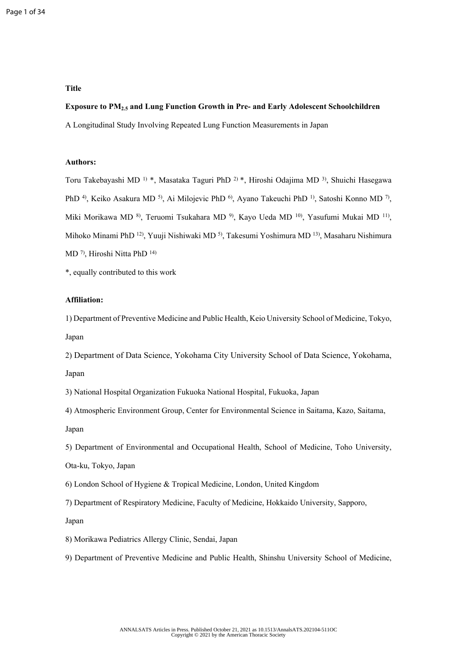### **Title**

# **Exposure to PM2.5 and Lung Function Growth in Pre- and Early Adolescent Schoolchildren**

A Longitudinal Study Involving Repeated Lung Function Measurements in Japan

### **Authors:**

Toru Takebayashi MD 1) \*, Masataka Taguri PhD 2) \*, Hiroshi Odajima MD 3), Shuichi Hasegawa PhD<sup>4</sup>), Keiko Asakura MD<sup>5</sup>), Ai Milojevic PhD<sup>6</sup>), Ayano Takeuchi PhD<sup>1</sup>), Satoshi Konno MD<sup>7</sup>), Miki Morikawa MD<sup>8</sup>, Teruomi Tsukahara MD<sup>9</sup>, Kayo Ueda MD<sup>10</sup>, Yasufumi Mukai MD<sup>11</sup>, Mihoko Minami PhD 12), Yuuji Nishiwaki MD 5), Takesumi Yoshimura MD 13), Masaharu Nishimura MD 7), Hiroshi Nitta PhD 14)

\*, equally contributed to this work

# **Affiliation:**

1) Department of Preventive Medicine and Public Health, Keio University School of Medicine, Tokyo, Japan

2) Department of Data Science, Yokohama City University School of Data Science, Yokohama, Japan

3) National Hospital Organization Fukuoka National Hospital, Fukuoka, Japan

4) Atmospheric Environment Group, Center for Environmental Science in Saitama, Kazo, Saitama, Japan

5) Department of Environmental and Occupational Health, School of Medicine, Toho University,

Ota-ku, Tokyo, Japan

6) London School of Hygiene & Tropical Medicine, London, United Kingdom

7) Department of Respiratory Medicine, Faculty of Medicine, Hokkaido University, Sapporo,

Japan

8) Morikawa Pediatrics Allergy Clinic, Sendai, Japan

9) Department of Preventive Medicine and Public Health, Shinshu University School of Medicine,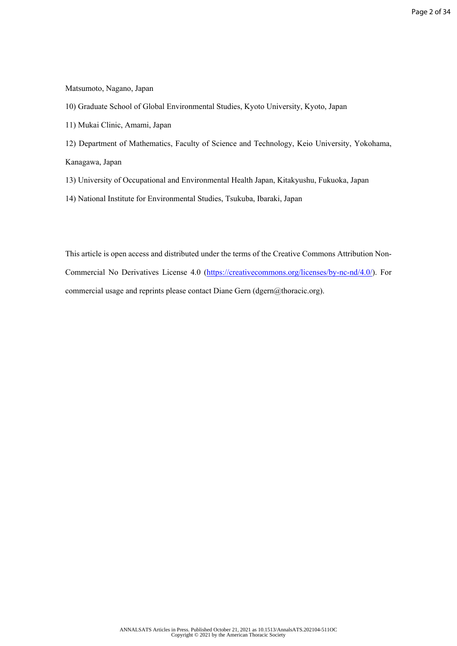# Matsumoto, Nagano, Japan

- 10) Graduate School of Global Environmental Studies, Kyoto University, Kyoto, Japan
- 11) Mukai Clinic, Amami, Japan
- 12) Department of Mathematics, Faculty of Science and Technology, Keio University, Yokohama, Kanagawa, Japan
- 13) University of Occupational and Environmental Health Japan, Kitakyushu, Fukuoka, Japan
- 14) National Institute for Environmental Studies, Tsukuba, Ibaraki, Japan

This article is open access and distributed under the terms of the Creative Commons Attribution Non-Commercial No Derivatives License 4.0 [\(https://creativecommons.org/licenses/by-nc-nd/4.0/](https://creativecommons.org/licenses/by-nc-nd/4.0/)). For commercial usage and reprints please contact Diane Gern (dgern@thoracic.org).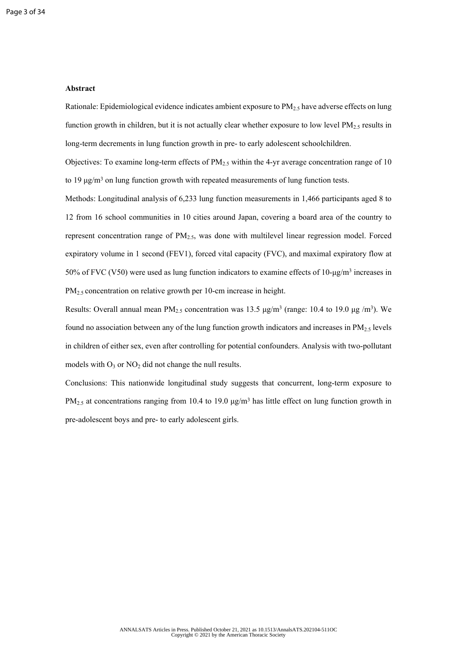# **Abstract**

Rationale: Epidemiological evidence indicates ambient exposure to  $PM_{2.5}$  have adverse effects on lung function growth in children, but it is not actually clear whether exposure to low level  $PM<sub>2.5</sub>$  results in long-term decrements in lung function growth in pre- to early adolescent schoolchildren.

Objectives: To examine long-term effects of  $PM_{2.5}$  within the 4-yr average concentration range of 10 to 19 μg/m<sup>3</sup> on lung function growth with repeated measurements of lung function tests.

Methods: Longitudinal analysis of 6,233 lung function measurements in 1,466 participants aged 8 to 12 from 16 school communities in 10 cities around Japan, covering a board area of the country to represent concentration range of  $PM_{2.5}$ , was done with multilevel linear regression model. Forced expiratory volume in 1 second (FEV1), forced vital capacity (FVC), and maximal expiratory flow at 50% of FVC (V50) were used as lung function indicators to examine effects of  $10$ -μg/m<sup>3</sup> increases in  $PM_{2.5}$  concentration on relative growth per 10-cm increase in height.

Results: Overall annual mean  $PM_{2.5}$  concentration was 13.5  $\mu g/m^3$  (range: 10.4 to 19.0  $\mu g/m^3$ ). We found no association between any of the lung function growth indicators and increases in  $PM_{2.5}$  levels in children of either sex, even after controlling for potential confounders. Analysis with two-pollutant models with  $O_3$  or  $NO_2$  did not change the null results.

Conclusions: This nationwide longitudinal study suggests that concurrent, long-term exposure to  $PM_{2.5}$  at concentrations ranging from 10.4 to 19.0  $\mu$ g/m<sup>3</sup> has little effect on lung function growth in pre-adolescent boys and pre- to early adolescent girls.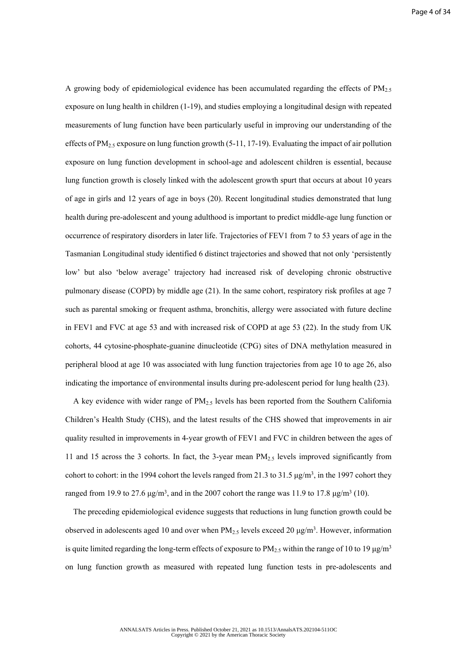A growing body of epidemiological evidence has been accumulated regarding the effects of  $PM_{2.5}$ exposure on lung health in children (1-19), and studies employing a longitudinal design with repeated measurements of lung function have been particularly useful in improving our understanding of the effects of  $PM_{2.5}$  exposure on lung function growth (5-11, 17-19). Evaluating the impact of air pollution exposure on lung function development in school-age and adolescent children is essential, because lung function growth is closely linked with the adolescent growth spurt that occurs at about 10 years of age in girls and 12 years of age in boys (20). Recent longitudinal studies demonstrated that lung health during pre-adolescent and young adulthood is important to predict middle-age lung function or occurrence of respiratory disorders in later life. Trajectories of FEV1 from 7 to 53 years of age in the Tasmanian Longitudinal study identified 6 distinct trajectories and showed that not only 'persistently low' but also 'below average' trajectory had increased risk of developing chronic obstructive pulmonary disease (COPD) by middle age (21). In the same cohort, respiratory risk profiles at age 7 such as parental smoking or frequent asthma, bronchitis, allergy were associated with future decline in FEV1 and FVC at age 53 and with increased risk of COPD at age 53 (22). In the study from UK cohorts, 44 cytosine-phosphate-guanine dinucleotide (CPG) sites of DNA methylation measured in peripheral blood at age 10 was associated with lung function trajectories from age 10 to age 26, also indicating the importance of environmental insults during pre-adolescent period for lung health (23).

A key evidence with wider range of  $PM<sub>2.5</sub>$  levels has been reported from the Southern California Children's Health Study (CHS), and the latest results of the CHS showed that improvements in air quality resulted in improvements in 4-year growth of FEV1 and FVC in children between the ages of 11 and 15 across the 3 cohorts. In fact, the 3-year mean  $PM_{2.5}$  levels improved significantly from cohort to cohort: in the 1994 cohort the levels ranged from 21.3 to 31.5  $\mu$ g/m<sup>3</sup>, in the 1997 cohort they ranged from 19.9 to 27.6  $\mu$ g/m<sup>3</sup>, and in the 2007 cohort the range was 11.9 to 17.8  $\mu$ g/m<sup>3</sup> (10).

The preceding epidemiological evidence suggests that reductions in lung function growth could be observed in adolescents aged 10 and over when  $PM_{2.5}$  levels exceed 20  $\mu$ g/m<sup>3</sup>. However, information is quite limited regarding the long-term effects of exposure to  $PM_{2.5}$  within the range of 10 to 19  $\mu$ g/m<sup>3</sup> on lung function growth as measured with repeated lung function tests in pre-adolescents and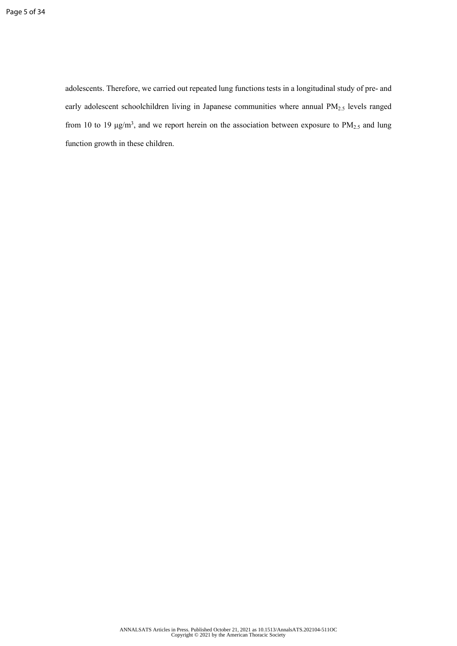adolescents. Therefore, we carried out repeated lung functions tests in a longitudinal study of pre- and early adolescent schoolchildren living in Japanese communities where annual PM<sub>2.5</sub> levels ranged from 10 to 19  $\mu$ g/m<sup>3</sup>, and we report herein on the association between exposure to PM<sub>2.5</sub> and lung function growth in these children.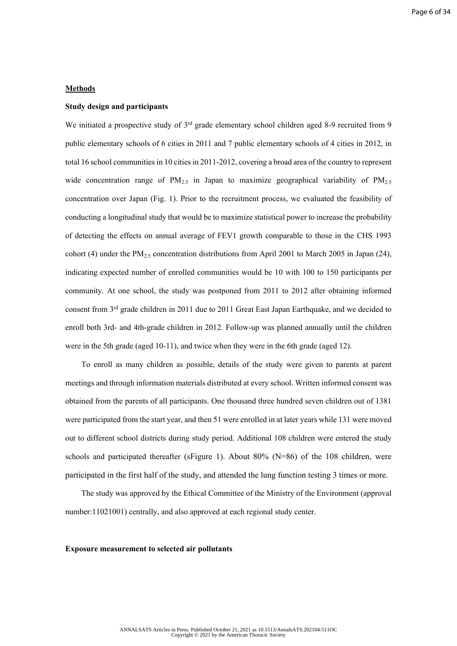# **Methods**

## **Study design and participants**

We initiated a prospective study of  $3^{rd}$  grade elementary school children aged 8-9 recruited from 9 public elementary schools of 6 cities in 2011 and 7 public elementary schools of 4 cities in 2012, in total 16 school communities in 10 cities in 2011-2012, covering a broad area of the country to represent wide concentration range of  $PM_{2.5}$  in Japan to maximize geographical variability of  $PM_{2.5}$ concentration over Japan (Fig. 1). Prior to the recruitment process, we evaluated the feasibility of conducting a longitudinal study that would be to maximize statistical power to increase the probability of detecting the effects on annual average of FEV1 growth comparable to those in the CHS 1993 cohort (4) under the  $PM_{2.5}$  concentration distributions from April 2001 to March 2005 in Japan (24), indicating expected number of enrolled communities would be 10 with 100 to 150 participants per community. At one school, the study was postponed from 2011 to 2012 after obtaining informed consent from 3rd grade children in 2011 due to 2011 Great East Japan Earthquake, and we decided to enroll both 3rd- and 4th-grade children in 2012. Follow-up was planned annually until the children were in the 5th grade (aged 10-11), and twice when they were in the 6th grade (aged 12).

To enroll as many children as possible, details of the study were given to parents at parent meetings and through information materials distributed at every school. Written informed consent was obtained from the parents of all participants. One thousand three hundred seven children out of 1381 were participated from the start year, and then 51 were enrolled in at later years while 131 were moved out to different school districts during study period. Additional 108 children were entered the study schools and participated thereafter (sFigure 1). About 80% (N=86) of the 108 children, were participated in the first half of the study, and attended the lung function testing 3 times or more.

The study was approved by the Ethical Committee of the Ministry of the Environment (approval number:11021001) centrally, and also approved at each regional study center.

#### **Exposure measurement to selected air pollutants**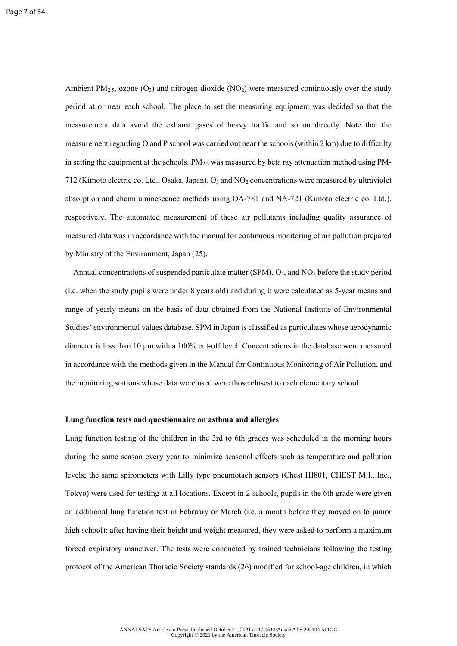Ambient PM<sub>2.5</sub>, ozone (O<sub>3</sub>) and nitrogen dioxide (NO<sub>2</sub>) were measured continuously over the study period at or near each school. The place to set the measuring equipment was decided so that the measurement data avoid the exhaust gases of heavy traffic and so on directly. Note that the measurement regarding O and P school was carried out near the schools (within 2 km) due to difficulty in setting the equipment at the schools.  $PM_{2.5}$  was measured by beta ray attenuation method using PM-712 (Kimoto electric co. Ltd., Osaka, Japan).  $O_3$  and  $NO_2$  concentrations were measured by ultraviolet absorption and chemiluminescence methods using OA-781 and NA-721 (Kimoto electric co. Ltd.), respectively. The automated measurement of these air pollutants including quality assurance of measured data was in accordance with the manual for continuous monitoring of air pollution prepared by Ministry of the Environment, Japan (25).

Annual concentrations of suspended particulate matter (SPM),  $O_3$ , and  $NO_2$  before the study period (i.e. when the study pupils were under 8 years old) and during it were calculated as 5-year means and range of yearly means on the basis of data obtained from the National Institute of Environmental Studies' environmental values database. SPM in Japan is classified as particulates whose aerodynamic diameter is less than 10 μm with a 100% cut-off level. Concentrations in the database were measured in accordance with the methods given in the Manual for Continuous Monitoring of Air Pollution, and the monitoring stations whose data were used were those closest to each elementary school.

#### **Lung function tests and questionnaire on asthma and allergies**

Lung function testing of the children in the 3rd to 6th grades was scheduled in the morning hours during the same season every year to minimize seasonal effects such as temperature and pollution levels; the same spirometers with Lilly type pneumotach sensors (Chest HI801, CHEST M.I., Inc., Tokyo) were used for testing at all locations. Except in 2 schools, pupils in the 6th grade were given an additional lung function test in February or March (i.e. a month before they moved on to junior high school): after having their height and weight measured, they were asked to perform a maximum forced expiratory maneuver. The tests were conducted by trained technicians following the testing protocol of the American Thoracic Society standards (26) modified for school-age children, in which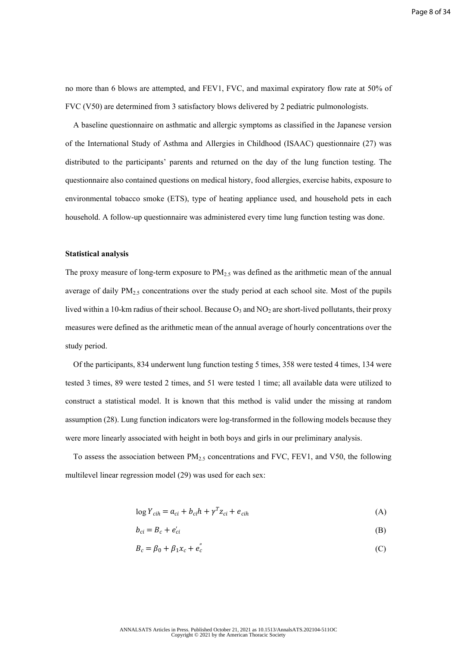no more than 6 blows are attempted, and FEV1, FVC, and maximal expiratory flow rate at 50% of FVC (V50) are determined from 3 satisfactory blows delivered by 2 pediatric pulmonologists.

A baseline questionnaire on asthmatic and allergic symptoms as classified in the Japanese version of the International Study of Asthma and Allergies in Childhood (ISAAC) questionnaire (27) was distributed to the participants' parents and returned on the day of the lung function testing. The questionnaire also contained questions on medical history, food allergies, exercise habits, exposure to environmental tobacco smoke (ETS), type of heating appliance used, and household pets in each household. A follow-up questionnaire was administered every time lung function testing was done.

#### **Statistical analysis**

The proxy measure of long-term exposure to  $PM<sub>2.5</sub>$  was defined as the arithmetic mean of the annual average of daily  $PM_{2.5}$  concentrations over the study period at each school site. Most of the pupils lived within a 10-km radius of their school. Because  $O_3$  and NO<sub>2</sub> are short-lived pollutants, their proxy measures were defined as the arithmetic mean of the annual average of hourly concentrations over the study period.

Of the participants, 834 underwent lung function testing 5 times, 358 were tested 4 times, 134 were tested 3 times, 89 were tested 2 times, and 51 were tested 1 time; all available data were utilized to construct a statistical model. It is known that this method is valid under the missing at random assumption (28). Lung function indicators were log-transformed in the following models because they were more linearly associated with height in both boys and girls in our preliminary analysis.

To assess the association between  $PM_{2.5}$  concentrations and FVC, FEV1, and V50, the following multilevel linear regression model (29) was used for each sex:

$$
\log Y_{cih} = a_{ci} + b_{ci}h + \gamma^T z_{ci} + e_{cih}
$$
 (A)

$$
b_{ci} = B_c + e'_{ci} \tag{B}
$$

$$
B_c = \beta_0 + \beta_1 x_c + e_c'' \tag{C}
$$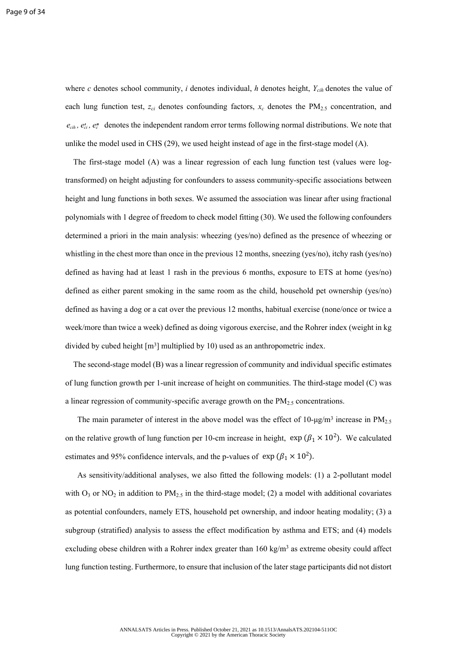where *c* denotes school community, *i* denotes individual, *h* denotes height,  $Y_{cih}$  denotes the value of each lung function test,  $z_{ci}$  denotes confounding factors,  $x_c$  denotes the  $PM_{2.5}$  concentration, and  $e_{\text{ci}}$ ,  $e_{\text{ci}}'$  a denotes the independent random error terms following normal distributions. We note that unlike the model used in CHS (29), we used height instead of age in the first-stage model (A).

The first-stage model (A) was a linear regression of each lung function test (values were logtransformed) on height adjusting for confounders to assess community-specific associations between height and lung functions in both sexes. We assumed the association was linear after using fractional polynomials with 1 degree of freedom to check model fitting (30). We used the following confounders determined a priori in the main analysis: wheezing (yes/no) defined as the presence of wheezing or whistling in the chest more than once in the previous 12 months, sneezing (yes/no), itchy rash (yes/no) defined as having had at least 1 rash in the previous 6 months, exposure to ETS at home (yes/no) defined as either parent smoking in the same room as the child, household pet ownership (yes/no) defined as having a dog or a cat over the previous 12 months, habitual exercise (none/once or twice a week/more than twice a week) defined as doing vigorous exercise, and the Rohrer index (weight in kg divided by cubed height  $[m<sup>3</sup>]$  multiplied by 10) used as an anthropometric index.

The second-stage model (B) was a linear regression of community and individual specific estimates of lung function growth per 1-unit increase of height on communities. The third-stage model (C) was a linear regression of community-specific average growth on the  $PM_{2.5}$  concentrations.

The main parameter of interest in the above model was the effect of 10- $\mu$ g/m<sup>3</sup> increase in PM<sub>2.5</sub> on the relative growth of lung function per 10-cm increase in height,  $\exp (\beta_1 \times 10^2)$ . We calculated estimates and 95% confidence intervals, and the p-values of  $\exp(\beta_1 \times 10^2)$ .

As sensitivity/additional analyses, we also fitted the following models: (1) a 2-pollutant model with  $O_3$  or NO<sub>2</sub> in addition to PM<sub>2.5</sub> in the third-stage model; (2) a model with additional covariates as potential confounders, namely ETS, household pet ownership, and indoor heating modality; (3) a subgroup (stratified) analysis to assess the effect modification by asthma and ETS; and (4) models excluding obese children with a Rohrer index greater than  $160 \text{ kg/m}^3$  as extreme obesity could affect lung function testing. Furthermore, to ensure that inclusion of the later stage participants did not distort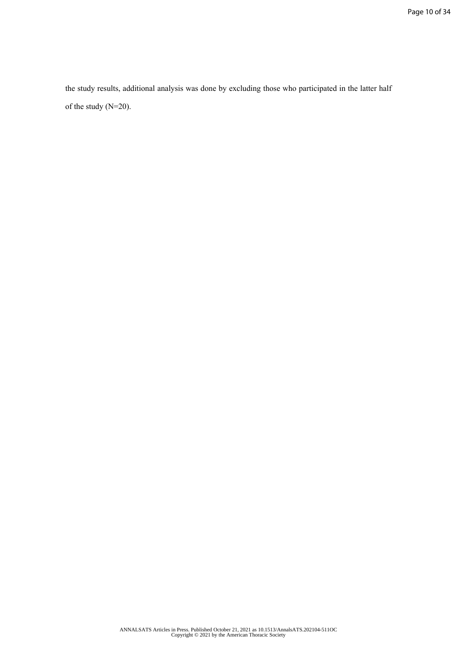the study results, additional analysis was done by excluding those who participated in the latter half of the study (N=20).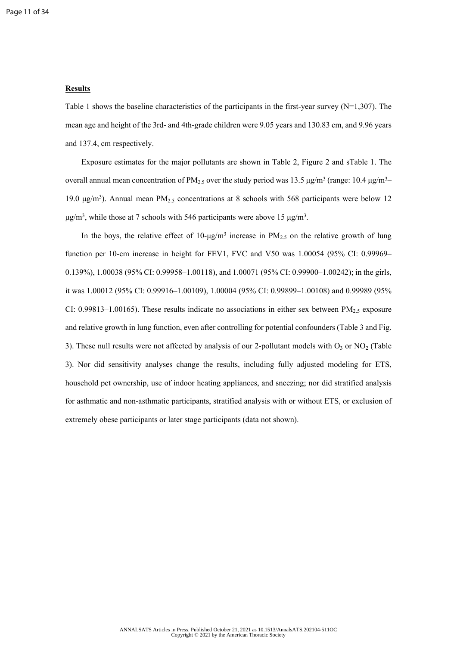# **Results**

Table 1 shows the baseline characteristics of the participants in the first-year survey (N=1,307). The mean age and height of the 3rd- and 4th-grade children were 9.05 years and 130.83 cm, and 9.96 years and 137.4, cm respectively.

Exposure estimates for the major pollutants are shown in Table 2, Figure 2 and sTable 1. The overall annual mean concentration of  $PM_{2.5}$  over the study period was 13.5  $\mu$ g/m<sup>3</sup> (range: 10.4  $\mu$ g/m<sup>3</sup>– 19.0 μg/m<sup>3</sup>). Annual mean PM<sub>2.5</sub> concentrations at 8 schools with 568 participants were below 12  $\mu$ g/m<sup>3</sup>, while those at 7 schools with 546 participants were above 15  $\mu$ g/m<sup>3</sup>.

In the boys, the relative effect of  $10$ -μg/m<sup>3</sup> increase in  $PM_{2.5}$  on the relative growth of lung function per 10-cm increase in height for FEV1, FVC and V50 was 1.00054 (95% CI: 0.99969– 0.139%), 1.00038 (95% CI: 0.99958–1.00118), and 1.00071 (95% CI: 0.99900–1.00242); in the girls, it was 1.00012 (95% CI: 0.99916–1.00109), 1.00004 (95% CI: 0.99899–1.00108) and 0.99989 (95% CI: 0.99813–1.00165). These results indicate no associations in either sex between  $PM<sub>2.5</sub>$  exposure and relative growth in lung function, even after controlling for potential confounders (Table 3 and Fig. 3). These null results were not affected by analysis of our 2-pollutant models with  $O_3$  or  $NO_2$  (Table 3). Nor did sensitivity analyses change the results, including fully adjusted modeling for ETS, household pet ownership, use of indoor heating appliances, and sneezing; nor did stratified analysis for asthmatic and non-asthmatic participants, stratified analysis with or without ETS, or exclusion of extremely obese participants or later stage participants (data not shown).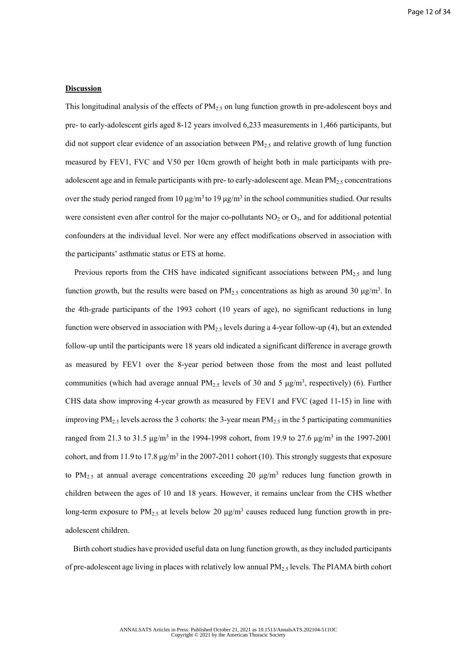## **Discussion**

This longitudinal analysis of the effects of  $PM<sub>2.5</sub>$  on lung function growth in pre-adolescent boys and pre- to early-adolescent girls aged 8-12 years involved 6,233 measurements in 1,466 participants, but did not support clear evidence of an association between  $PM_{2.5}$  and relative growth of lung function measured by FEV1, FVC and V50 per 10cm growth of height both in male participants with preadolescent age and in female participants with pre- to early-adolescent age. Mean  $PM<sub>2.5</sub>$  concentrations over the study period ranged from 10  $\mu$ g/m<sup>3</sup> to 19  $\mu$ g/m<sup>3</sup> in the school communities studied. Our results were consistent even after control for the major co-pollutants  $NO<sub>2</sub>$  or  $O<sub>3</sub>$ , and for additional potential confounders at the individual level. Nor were any effect modifications observed in association with the participants' asthmatic status or ETS at home.

Previous reports from the CHS have indicated significant associations between  $PM_{2.5}$  and lung function growth, but the results were based on  $PM_{2.5}$  concentrations as high as around 30  $\mu$ g/m<sup>3</sup>. In the 4th-grade participants of the 1993 cohort (10 years of age), no significant reductions in lung function were observed in association with  $PM_{2.5}$  levels during a 4-year follow-up (4), but an extended follow-up until the participants were 18 years old indicated a significant difference in average growth as measured by FEV1 over the 8-year period between those from the most and least polluted communities (which had average annual  $PM_{2.5}$  levels of 30 and 5  $\mu$ g/m<sup>3</sup>, respectively) (6). Further CHS data show improving 4-year growth as measured by FEV1 and FVC (aged 11-15) in line with improving  $PM_{2.5}$  levels across the 3 cohorts: the 3-year mean  $PM_{2.5}$  in the 5 participating communities ranged from 21.3 to 31.5  $\mu$ g/m<sup>3</sup> in the 1994-1998 cohort, from 19.9 to 27.6  $\mu$ g/m<sup>3</sup> in the 1997-2001 cohort, and from 11.9 to 17.8  $\mu$ g/m<sup>3</sup> in the 2007-2011 cohort (10). This strongly suggests that exposure to  $PM_{2.5}$  at annual average concentrations exceeding 20  $\mu$ g/m<sup>3</sup> reduces lung function growth in children between the ages of 10 and 18 years. However, it remains unclear from the CHS whether long-term exposure to  $PM_{2.5}$  at levels below 20  $\mu$ g/m<sup>3</sup> causes reduced lung function growth in preadolescent children.

Birth cohort studies have provided useful data on lung function growth, as they included participants of pre-adolescent age living in places with relatively low annual  $PM<sub>2.5</sub>$  levels. The PIAMA birth cohort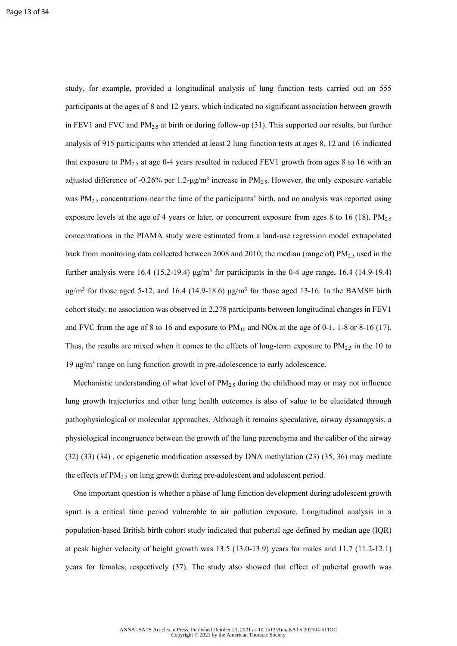study, for example, provided a longitudinal analysis of lung function tests carried out on 555 participants at the ages of 8 and 12 years, which indicated no significant association between growth in FEV1 and FVC and  $PM_{2.5}$  at birth or during follow-up (31). This supported our results, but further analysis of 915 participants who attended at least 2 lung function tests at ages 8, 12 and 16 indicated that exposure to  $PM_{2.5}$  at age 0-4 years resulted in reduced FEV1 growth from ages 8 to 16 with an adjusted difference of -0.26% per 1.2- $\mu$ g/m<sup>3</sup> increase in PM<sub>2.5</sub>. However, the only exposure variable was  $PM_{2.5}$  concentrations near the time of the participants' birth, and no analysis was reported using exposure levels at the age of 4 years or later, or concurrent exposure from ages 8 to 16 (18). PM<sub>2.5</sub> concentrations in the PIAMA study were estimated from a land-use regression model extrapolated back from monitoring data collected between 2008 and 2010; the median (range of)  $PM_{2.5}$  used in the further analysis were 16.4 (15.2-19.4)  $\mu$ g/m<sup>3</sup> for participants in the 0-4 age range, 16.4 (14.9-19.4)  $\mu$ g/m<sup>3</sup> for those aged 5-12, and 16.4 (14.9-18.6)  $\mu$ g/m<sup>3</sup> for those aged 13-16. In the BAMSE birth cohort study, no association was observed in 2,278 participants between longitudinal changes in FEV1 and FVC from the age of 8 to 16 and exposure to  $PM_{10}$  and NOx at the age of 0-1, 1-8 or 8-16 (17). Thus, the results are mixed when it comes to the effects of long-term exposure to  $PM_{2.5}$  in the 10 to 19 μg/m<sup>3</sup> range on lung function growth in pre-adolescence to early adolescence.

Mechanistic understanding of what level of  $PM_{2.5}$  during the childhood may or may not influence lung growth trajectories and other lung health outcomes is also of value to be elucidated through pathophysiological or molecular approaches. Although it remains speculative, airway dysanapysis, a physiological incongruence between the growth of the lung parenchyma and the caliber of the airway (32) (33) (34) , or epigenetic modification assessed by DNA methylation (23) (35, 36) may mediate the effects of  $PM<sub>2.5</sub>$  on lung growth during pre-adolescent and adolescent period.

One important question is whether a phase of lung function development during adolescent growth spurt is a critical time period vulnerable to air pollution exposure. Longitudinal analysis in a population-based British birth cohort study indicated that pubertal age defined by median age (IQR) at peak higher velocity of height growth was 13.5 (13.0-13.9) years for males and 11.7 (11.2-12.1) years for females, respectively (37). The study also showed that effect of pubertal growth was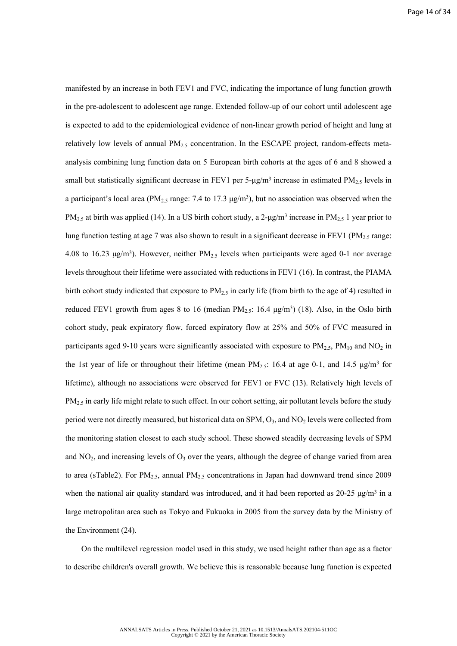manifested by an increase in both FEV1 and FVC, indicating the importance of lung function growth in the pre-adolescent to adolescent age range. Extended follow-up of our cohort until adolescent age is expected to add to the epidemiological evidence of non-linear growth period of height and lung at relatively low levels of annual  $PM_{2.5}$  concentration. In the ESCAPE project, random-effects metaanalysis combining lung function data on 5 European birth cohorts at the ages of 6 and 8 showed a small but statistically significant decrease in FEV1 per 5- $\mu$ g/m<sup>3</sup> increase in estimated PM<sub>2.5</sub> levels in a participant's local area (PM<sub>2.5</sub> range: 7.4 to 17.3  $\mu$ g/m<sup>3</sup>), but no association was observed when the PM<sub>2.5</sub> at birth was applied (14). In a US birth cohort study, a 2- $\mu$ g/m<sup>3</sup> increase in PM<sub>2.5</sub> 1 year prior to lung function testing at age 7 was also shown to result in a significant decrease in FEV1 (PM<sub>2.5</sub> range: 4.08 to 16.23  $\mu$ g/m<sup>3</sup>). However, neither PM<sub>2.5</sub> levels when participants were aged 0-1 nor average levels throughout their lifetime were associated with reductions in FEV1 (16). In contrast, the PIAMA birth cohort study indicated that exposure to  $PM_{2.5}$  in early life (from birth to the age of 4) resulted in reduced FEV1 growth from ages 8 to 16 (median  $PM_{2.5}$ : 16.4  $\mu$ g/m<sup>3</sup>) (18). Also, in the Oslo birth cohort study, peak expiratory flow, forced expiratory flow at 25% and 50% of FVC measured in participants aged 9-10 years were significantly associated with exposure to  $PM_{2.5}$ ,  $PM_{10}$  and  $NO_2$  in the 1st year of life or throughout their lifetime (mean  $PM_{2.5}$ : 16.4 at age 0-1, and 14.5  $\mu$ g/m<sup>3</sup> for lifetime), although no associations were observed for FEV1 or FVC (13). Relatively high levels of PM<sub>2.5</sub> in early life might relate to such effect. In our cohort setting, air pollutant levels before the study period were not directly measured, but historical data on  $SPM$ ,  $O_3$ , and  $NO_2$  levels were collected from the monitoring station closest to each study school. These showed steadily decreasing levels of SPM and  $NO<sub>2</sub>$ , and increasing levels of  $O<sub>3</sub>$  over the years, although the degree of change varied from area to area (sTable2). For PM<sub>2.5</sub>, annual PM<sub>2.5</sub> concentrations in Japan had downward trend since 2009 when the national air quality standard was introduced, and it had been reported as  $20-25 \mu g/m^3$  in a large metropolitan area such as Tokyo and Fukuoka in 2005 from the survey data by the Ministry of the Environment (24).

On the multilevel regression model used in this study, we used height rather than age as a factor to describe children's overall growth. We believe this is reasonable because lung function is expected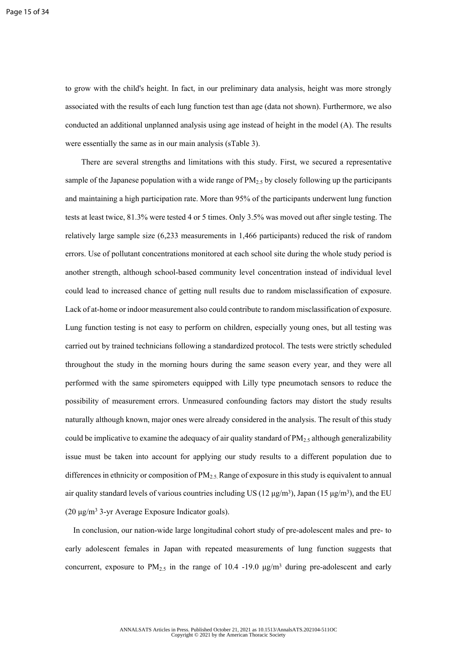to grow with the child's height. In fact, in our preliminary data analysis, height was more strongly associated with the results of each lung function test than age (data not shown). Furthermore, we also conducted an additional unplanned analysis using age instead of height in the model (A). The results were essentially the same as in our main analysis (sTable 3).

There are several strengths and limitations with this study. First, we secured a representative sample of the Japanese population with a wide range of  $PM<sub>2.5</sub>$  by closely following up the participants and maintaining a high participation rate. More than 95% of the participants underwent lung function tests at least twice, 81.3% were tested 4 or 5 times. Only 3.5% was moved out after single testing. The relatively large sample size (6,233 measurements in 1,466 participants) reduced the risk of random errors. Use of pollutant concentrations monitored at each school site during the whole study period is another strength, although school-based community level concentration instead of individual level could lead to increased chance of getting null results due to random misclassification of exposure. Lack of at-home or indoor measurement also could contribute to random misclassification of exposure. Lung function testing is not easy to perform on children, especially young ones, but all testing was carried out by trained technicians following a standardized protocol. The tests were strictly scheduled throughout the study in the morning hours during the same season every year, and they were all performed with the same spirometers equipped with Lilly type pneumotach sensors to reduce the possibility of measurement errors. Unmeasured confounding factors may distort the study results naturally although known, major ones were already considered in the analysis. The result of this study could be implicative to examine the adequacy of air quality standard of  $PM_{2.5}$  although generalizability issue must be taken into account for applying our study results to a different population due to differences in ethnicity or composition of  $PM<sub>2.5</sub>$  Range of exposure in this study is equivalent to annual air quality standard levels of various countries including US (12  $\mu$ g/m<sup>3</sup>), Japan (15  $\mu$ g/m<sup>3</sup>), and the EU  $(20 \mu g/m<sup>3</sup>$  3-yr Average Exposure Indicator goals).

In conclusion, our nation-wide large longitudinal cohort study of pre-adolescent males and pre- to early adolescent females in Japan with repeated measurements of lung function suggests that concurrent, exposure to  $PM_{2.5}$  in the range of 10.4 -19.0  $\mu g/m^3$  during pre-adolescent and early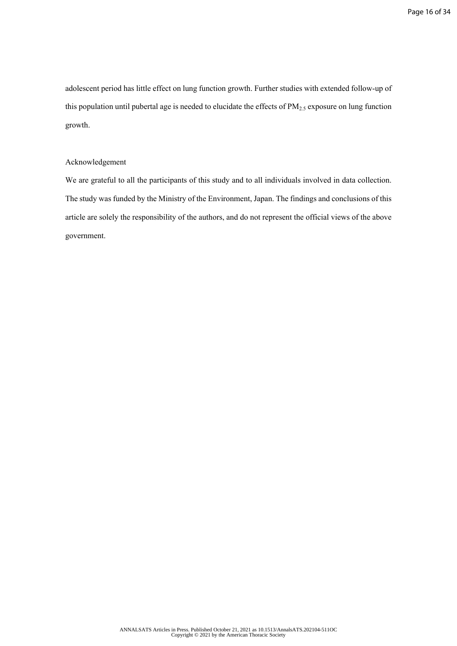adolescent period has little effect on lung function growth. Further studies with extended follow-up of this population until pubertal age is needed to elucidate the effects of  $PM_{2.5}$  exposure on lung function growth.

# Acknowledgement

We are grateful to all the participants of this study and to all individuals involved in data collection. The study was funded by the Ministry of the Environment, Japan. The findings and conclusions of this article are solely the responsibility of the authors, and do not represent the official views of the above government.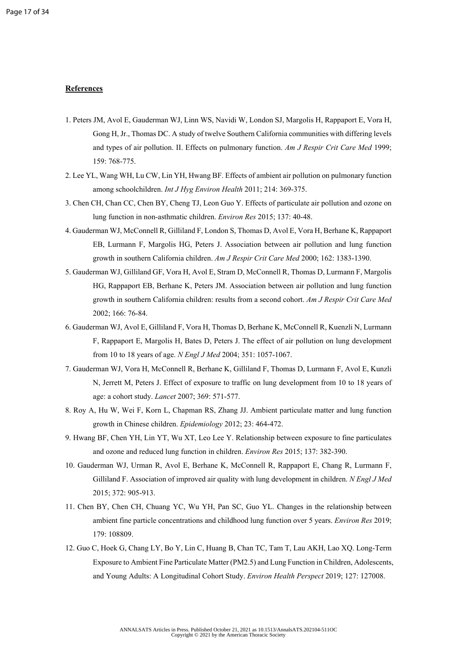## **References**

- 1. Peters JM, Avol E, Gauderman WJ, Linn WS, Navidi W, London SJ, Margolis H, Rappaport E, Vora H, Gong H, Jr., Thomas DC. A study of twelve Southern California communities with differing levels and types of air pollution. II. Effects on pulmonary function. *Am J Respir Crit Care Med* 1999; 159: 768-775.
- 2. Lee YL, Wang WH, Lu CW, Lin YH, Hwang BF. Effects of ambient air pollution on pulmonary function among schoolchildren. *Int J Hyg Environ Health* 2011; 214: 369-375.
- 3. Chen CH, Chan CC, Chen BY, Cheng TJ, Leon Guo Y. Effects of particulate air pollution and ozone on lung function in non-asthmatic children. *Environ Res* 2015; 137: 40-48.
- 4. Gauderman WJ, McConnell R, Gilliland F, London S, Thomas D, Avol E, Vora H, Berhane K, Rappaport EB, Lurmann F, Margolis HG, Peters J. Association between air pollution and lung function growth in southern California children. *Am J Respir Crit Care Med* 2000; 162: 1383-1390.
- 5. Gauderman WJ, Gilliland GF, Vora H, Avol E, Stram D, McConnell R, Thomas D, Lurmann F, Margolis HG, Rappaport EB, Berhane K, Peters JM. Association between air pollution and lung function growth in southern California children: results from a second cohort. *Am J Respir Crit Care Med*  2002; 166: 76-84.
- 6. Gauderman WJ, Avol E, Gilliland F, Vora H, Thomas D, Berhane K, McConnell R, Kuenzli N, Lurmann F, Rappaport E, Margolis H, Bates D, Peters J. The effect of air pollution on lung development from 10 to 18 years of age. *N Engl J Med* 2004; 351: 1057-1067.
- 7. Gauderman WJ, Vora H, McConnell R, Berhane K, Gilliland F, Thomas D, Lurmann F, Avol E, Kunzli N, Jerrett M, Peters J. Effect of exposure to traffic on lung development from 10 to 18 years of age: a cohort study. *Lancet* 2007; 369: 571-577.
- 8. Roy A, Hu W, Wei F, Korn L, Chapman RS, Zhang JJ. Ambient particulate matter and lung function growth in Chinese children. *Epidemiology* 2012; 23: 464-472.
- 9. Hwang BF, Chen YH, Lin YT, Wu XT, Leo Lee Y. Relationship between exposure to fine particulates and ozone and reduced lung function in children. *Environ Res* 2015; 137: 382-390.
- 10. Gauderman WJ, Urman R, Avol E, Berhane K, McConnell R, Rappaport E, Chang R, Lurmann F, Gilliland F. Association of improved air quality with lung development in children. *N Engl J Med*  2015; 372: 905-913.
- 11. Chen BY, Chen CH, Chuang YC, Wu YH, Pan SC, Guo YL. Changes in the relationship between ambient fine particle concentrations and childhood lung function over 5 years. *Environ Res* 2019; 179: 108809.
- 12. Guo C, Hoek G, Chang LY, Bo Y, Lin C, Huang B, Chan TC, Tam T, Lau AKH, Lao XQ. Long-Term Exposure to Ambient Fine Particulate Matter (PM2.5) and Lung Function in Children, Adolescents, and Young Adults: A Longitudinal Cohort Study. *Environ Health Perspect* 2019; 127: 127008.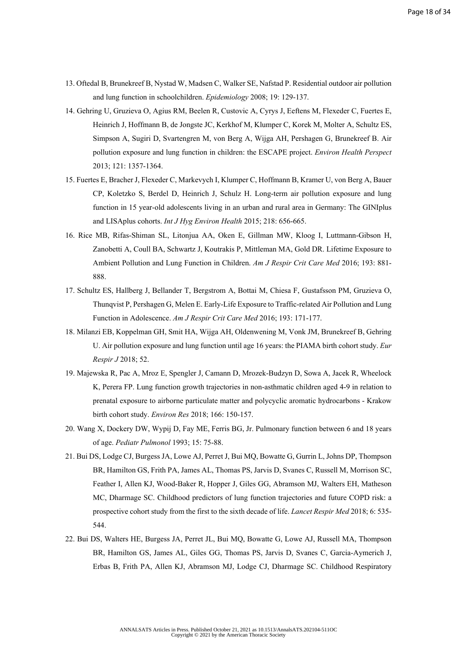- 13. Oftedal B, Brunekreef B, Nystad W, Madsen C, Walker SE, Nafstad P. Residential outdoor air pollution and lung function in schoolchildren. *Epidemiology* 2008; 19: 129-137.
- 14. Gehring U, Gruzieva O, Agius RM, Beelen R, Custovic A, Cyrys J, Eeftens M, Flexeder C, Fuertes E, Heinrich J, Hoffmann B, de Jongste JC, Kerkhof M, Klumper C, Korek M, Molter A, Schultz ES, Simpson A, Sugiri D, Svartengren M, von Berg A, Wijga AH, Pershagen G, Brunekreef B. Air pollution exposure and lung function in children: the ESCAPE project. *Environ Health Perspect*  2013; 121: 1357-1364.
- 15. Fuertes E, Bracher J, Flexeder C, Markevych I, Klumper C, Hoffmann B, Kramer U, von Berg A, Bauer CP, Koletzko S, Berdel D, Heinrich J, Schulz H. Long-term air pollution exposure and lung function in 15 year-old adolescents living in an urban and rural area in Germany: The GINIplus and LISAplus cohorts. *Int J Hyg Environ Health* 2015; 218: 656-665.
- 16. Rice MB, Rifas-Shiman SL, Litonjua AA, Oken E, Gillman MW, Kloog I, Luttmann-Gibson H, Zanobetti A, Coull BA, Schwartz J, Koutrakis P, Mittleman MA, Gold DR. Lifetime Exposure to Ambient Pollution and Lung Function in Children. *Am J Respir Crit Care Med* 2016; 193: 881- 888.
- 17. Schultz ES, Hallberg J, Bellander T, Bergstrom A, Bottai M, Chiesa F, Gustafsson PM, Gruzieva O, Thunqvist P, Pershagen G, Melen E. Early-Life Exposure to Traffic-related Air Pollution and Lung Function in Adolescence. *Am J Respir Crit Care Med* 2016; 193: 171-177.
- 18. Milanzi EB, Koppelman GH, Smit HA, Wijga AH, Oldenwening M, Vonk JM, Brunekreef B, Gehring U. Air pollution exposure and lung function until age 16 years: the PIAMA birth cohort study. *Eur Respir J* 2018; 52.
- 19. Majewska R, Pac A, Mroz E, Spengler J, Camann D, Mrozek-Budzyn D, Sowa A, Jacek R, Wheelock K, Perera FP. Lung function growth trajectories in non-asthmatic children aged 4-9 in relation to prenatal exposure to airborne particulate matter and polycyclic aromatic hydrocarbons - Krakow birth cohort study. *Environ Res* 2018; 166: 150-157.
- 20. Wang X, Dockery DW, Wypij D, Fay ME, Ferris BG, Jr. Pulmonary function between 6 and 18 years of age. *Pediatr Pulmonol* 1993; 15: 75-88.
- 21. Bui DS, Lodge CJ, Burgess JA, Lowe AJ, Perret J, Bui MQ, Bowatte G, Gurrin L, Johns DP, Thompson BR, Hamilton GS, Frith PA, James AL, Thomas PS, Jarvis D, Svanes C, Russell M, Morrison SC, Feather I, Allen KJ, Wood-Baker R, Hopper J, Giles GG, Abramson MJ, Walters EH, Matheson MC, Dharmage SC. Childhood predictors of lung function trajectories and future COPD risk: a prospective cohort study from the first to the sixth decade of life. *Lancet Respir Med* 2018; 6: 535- 544.
- 22. Bui DS, Walters HE, Burgess JA, Perret JL, Bui MQ, Bowatte G, Lowe AJ, Russell MA, Thompson BR, Hamilton GS, James AL, Giles GG, Thomas PS, Jarvis D, Svanes C, Garcia-Aymerich J, Erbas B, Frith PA, Allen KJ, Abramson MJ, Lodge CJ, Dharmage SC. Childhood Respiratory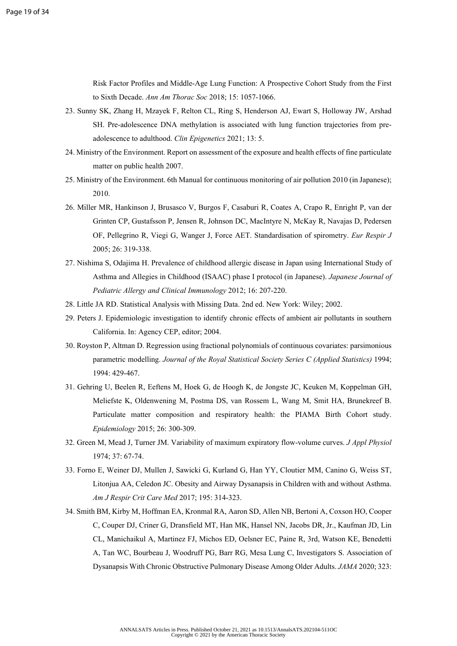Risk Factor Profiles and Middle-Age Lung Function: A Prospective Cohort Study from the First to Sixth Decade. *Ann Am Thorac Soc* 2018; 15: 1057-1066.

- 23. Sunny SK, Zhang H, Mzayek F, Relton CL, Ring S, Henderson AJ, Ewart S, Holloway JW, Arshad SH. Pre-adolescence DNA methylation is associated with lung function trajectories from preadolescence to adulthood. *Clin Epigenetics* 2021; 13: 5.
- 24. Ministry of the Environment. Report on assessment of the exposure and health effects of fine particulate matter on public health 2007.
- 25. Ministry of the Environment. 6th Manual for continuous monitoring of air pollution 2010 (in Japanese); 2010.
- 26. Miller MR, Hankinson J, Brusasco V, Burgos F, Casaburi R, Coates A, Crapo R, Enright P, van der Grinten CP, Gustafsson P, Jensen R, Johnson DC, MacIntyre N, McKay R, Navajas D, Pedersen OF, Pellegrino R, Viegi G, Wanger J, Force AET. Standardisation of spirometry. *Eur Respir J*  2005; 26: 319-338.
- 27. Nishima S, Odajima H. Prevalence of childhood allergic disease in Japan using International Study of Asthma and Allegies in Childhood (ISAAC) phase I protocol (in Japanese). *Japanese Journal of Pediatric Allergy and Clinical Immunology* 2012; 16: 207-220.
- 28. Little JA RD. Statistical Analysis with Missing Data. 2nd ed. New York: Wiley; 2002.
- 29. Peters J. Epidemiologic investigation to identify chronic effects of ambient air pollutants in southern California. In: Agency CEP, editor; 2004.
- 30. Royston P, Altman D. Regression using fractional polynomials of continuous covariates: parsimonious parametric modelling. *Journal of the Royal Statistical Society Series C (Applied Statistics)* 1994; 1994: 429-467.
- 31. Gehring U, Beelen R, Eeftens M, Hoek G, de Hoogh K, de Jongste JC, Keuken M, Koppelman GH, Meliefste K, Oldenwening M, Postma DS, van Rossem L, Wang M, Smit HA, Brunekreef B. Particulate matter composition and respiratory health: the PIAMA Birth Cohort study. *Epidemiology* 2015; 26: 300-309.
- 32. Green M, Mead J, Turner JM. Variability of maximum expiratory flow-volume curves. *J Appl Physiol*  1974; 37: 67-74.
- 33. Forno E, Weiner DJ, Mullen J, Sawicki G, Kurland G, Han YY, Cloutier MM, Canino G, Weiss ST, Litonjua AA, Celedon JC. Obesity and Airway Dysanapsis in Children with and without Asthma. *Am J Respir Crit Care Med* 2017; 195: 314-323.
- 34. Smith BM, Kirby M, Hoffman EA, Kronmal RA, Aaron SD, Allen NB, Bertoni A, Coxson HO, Cooper C, Couper DJ, Criner G, Dransfield MT, Han MK, Hansel NN, Jacobs DR, Jr., Kaufman JD, Lin CL, Manichaikul A, Martinez FJ, Michos ED, Oelsner EC, Paine R, 3rd, Watson KE, Benedetti A, Tan WC, Bourbeau J, Woodruff PG, Barr RG, Mesa Lung C, Investigators S. Association of Dysanapsis With Chronic Obstructive Pulmonary Disease Among Older Adults. *JAMA* 2020; 323: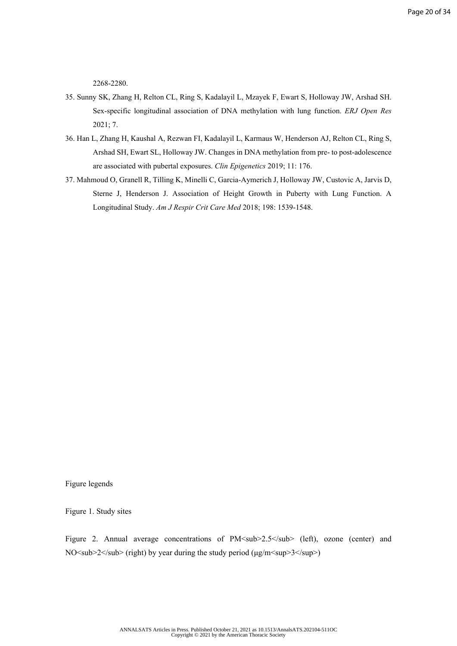2268-2280.

- 35. Sunny SK, Zhang H, Relton CL, Ring S, Kadalayil L, Mzayek F, Ewart S, Holloway JW, Arshad SH. Sex-specific longitudinal association of DNA methylation with lung function. *ERJ Open Res*  2021; 7.
- 36. Han L, Zhang H, Kaushal A, Rezwan FI, Kadalayil L, Karmaus W, Henderson AJ, Relton CL, Ring S, Arshad SH, Ewart SL, Holloway JW. Changes in DNA methylation from pre- to post-adolescence are associated with pubertal exposures. *Clin Epigenetics* 2019; 11: 176.
- 37. Mahmoud O, Granell R, Tilling K, Minelli C, Garcia-Aymerich J, Holloway JW, Custovic A, Jarvis D, Sterne J, Henderson J. Association of Height Growth in Puberty with Lung Function. A Longitudinal Study. *Am J Respir Crit Care Med* 2018; 198: 1539-1548.

Figure legends

Figure 1. Study sites

Figure 2. Annual average concentrations of PM<sub>2.5</sub> (left), ozone (center) and NO<sub>2</sub> (right) by year during the study period (μg/m<sup>2</sup>sup>3</sup>)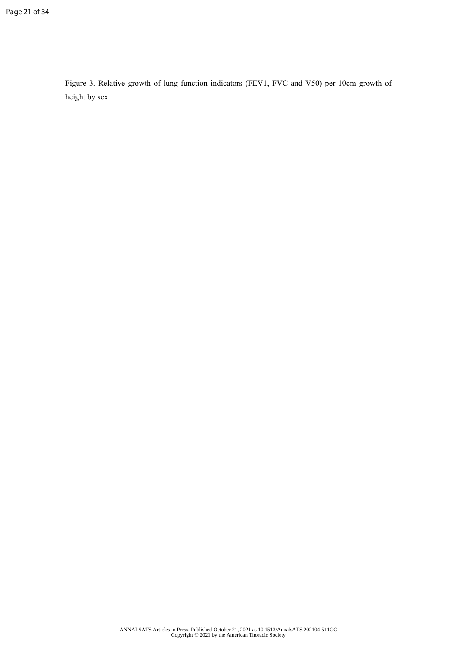Figure 3. Relative growth of lung function indicators (FEV1, FVC and V50) per 10cm growth of height by sex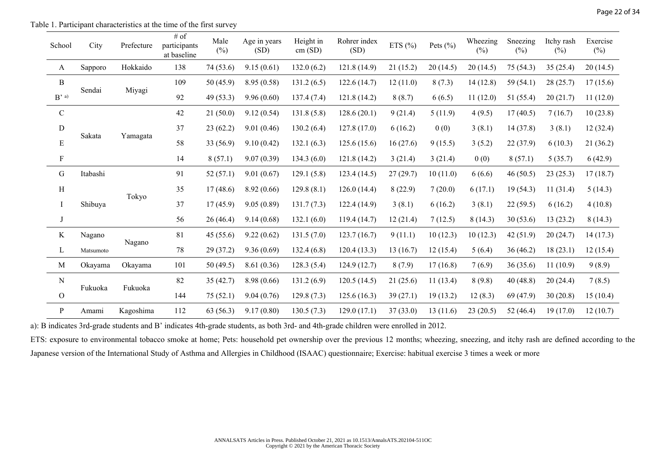| Table 1. Participant characteristics at the time of the first survey |
|----------------------------------------------------------------------|
|----------------------------------------------------------------------|

| School                     | City      | Prefecture | # of<br>participants<br>at baseline | Male<br>$(\%)$ | Age in years<br>(SD) | Height in<br>cm(SD) | Rohrer index<br>(SD) | ETS $(\%)$ | Pets $(\% )$ | Wheezing<br>$(\%)$ | Sneezing<br>$(\%)$ | Itchy rash<br>$(\%)$ | Exercise<br>$(\%)$ |
|----------------------------|-----------|------------|-------------------------------------|----------------|----------------------|---------------------|----------------------|------------|--------------|--------------------|--------------------|----------------------|--------------------|
| A                          | Sapporo   | Hokkaido   | 138                                 | 74 (53.6)      | 9.15(0.61)           | 132.0(6.2)          | 121.8(14.9)          | 21(15.2)   | 20(14.5)     | 20(14.5)           | 75 (54.3)          | 35(25.4)             | 20(14.5)           |
| $\, {\bf B}$               | Sendai    |            | 109                                 | 50 (45.9)      | 8.95 (0.58)          | 131.2(6.5)          | 122.6(14.7)          | 12(11.0)   | 8(7.3)       | 14(12.8)           | 59 (54.1)          | 28(25.7)             | 17(15.6)           |
| $\mathbf{B}^{\text{, a)}}$ |           | Miyagi     | 92                                  | 49 (53.3)      | 9.96(0.60)           | 137.4(7.4)          | 121.8(14.2)          | 8(8.7)     | 6(6.5)       | 11(12.0)           | 51 (55.4)          | 20(21.7)             | 11(12.0)           |
| $\mathbf C$                |           |            | 42                                  | 21(50.0)       | 9.12(0.54)           | 131.8(5.8)          | 128.6(20.1)          | 9(21.4)    | 5(11.9)      | 4(9.5)             | 17(40.5)           | 7(16.7)              | 10(23.8)           |
| $\mathbf D$                |           |            | 37                                  | 23(62.2)       | 9.01(0.46)           | 130.2(6.4)          | 127.8(17.0)          | 6(16.2)    | 0(0)         | 3(8.1)             | 14(37.8)           | 3(8.1)               | 12(32.4)           |
| ${\bf E}$                  | Sakata    | Yamagata   | 58                                  | 33 (56.9)      | 9.10(0.42)           | 132.1(6.3)          | 125.6(15.6)          | 16(27.6)   | 9(15.5)      | 3(5.2)             | 22 (37.9)          | 6(10.3)              | 21(36.2)           |
| $\mathbf{F}$               |           |            | 14                                  | 8(57.1)        | 9.07(0.39)           | 134.3(6.0)          | 121.8(14.2)          | 3(21.4)    | 3(21.4)      | 0(0)               | 8(57.1)            | 5(35.7)              | 6(42.9)            |
| G                          | Itabashi  |            | 91                                  | 52(57.1)       | 9.01(0.67)           | 129.1(5.8)          | 123.4(14.5)          | 27(29.7)   | 10(11.0)     | 6(6.6)             | 46(50.5)           | 23(25.3)             | 17(18.7)           |
| $\, {\rm H}$               |           |            | 35                                  | 17(48.6)       | 8.92(0.66)           | 129.8(8.1)          | 126.0(14.4)          | 8(22.9)    | 7(20.0)      | 6(17.1)            | 19(54.3)           | 11(31.4)             | 5(14.3)            |
| $\rm I$                    | Shibuya   | Tokyo      | 37                                  | 17(45.9)       | 9.05(0.89)           | 131.7(7.3)          | 122.4 (14.9)         | 3(8.1)     | 6(16.2)      | 3(8.1)             | 22(59.5)           | 6(16.2)              | 4(10.8)            |
|                            |           |            | 56                                  | 26 (46.4)      | 9.14(0.68)           | 132.1(6.0)          | 119.4(14.7)          | 12(21.4)   | 7(12.5)      | 8(14.3)            | 30(53.6)           | 13(23.2)             | 8(14.3)            |
| $\rm K$                    | Nagano    |            | 81                                  | 45(55.6)       | 9.22(0.62)           | 131.5(7.0)          | 123.7(16.7)          | 9(11.1)    | 10(12.3)     | 10(12.3)           | 42(51.9)           | 20(24.7)             | 14(17.3)           |
| L                          | Matsumoto | Nagano     | 78                                  | 29(37.2)       | 9.36(0.69)           | 132.4(6.8)          | 120.4(13.3)          | 13(16.7)   | 12(15.4)     | 5(6.4)             | 36(46.2)           | 18(23.1)             | 12(15.4)           |
| M                          | Okayama   | Okayama    | 101                                 | 50(49.5)       | 8.61(0.36)           | 128.3(5.4)          | 124.9(12.7)          | 8(7.9)     | 17(16.8)     | 7(6.9)             | 36(35.6)           | 11(10.9)             | 9(8.9)             |
| $\mathbf N$                |           |            | 82                                  | 35(42.7)       | 8.98 (0.66)          | 131.2(6.9)          | 120.5(14.5)          | 21(25.6)   | 11(13.4)     | 8(9.8)             | 40(48.8)           | 20(24.4)             | 7(8.5)             |
| $\mathbf{O}$               | Fukuoka   | Fukuoka    | 144                                 | 75(52.1)       | 9.04(0.76)           | 129.8(7.3)          | 125.6(16.3)          | 39(27.1)   | 19(13.2)     | 12(8.3)            | 69 (47.9)          | 30(20.8)             | 15(10.4)           |
| $\mathbf{P}$               | Amami     | Kagoshima  | 112                                 | 63(56.3)       | 9.17(0.80)           | 130.5(7.3)          | 129.0(17.1)          | 37(33.0)   | 13(11.6)     | 23(20.5)           | 52 $(46.4)$        | 19(17.0)             | 12(10.7)           |

a): B indicates 3rd-grade students and B' indicates 4th-grade students, as both 3rd- and 4th-grade children were enrolled in 2012.

ETS: exposure to environmental tobacco smoke at home; Pets: household pet ownership over the previous 12 months; wheezing, sneezing, and itchy rash are defined according to the Japanese version of the International Study of Asthma and Allergies in Childhood (ISAAC) questionnaire; Exercise: habitual exercise 3 times a week or more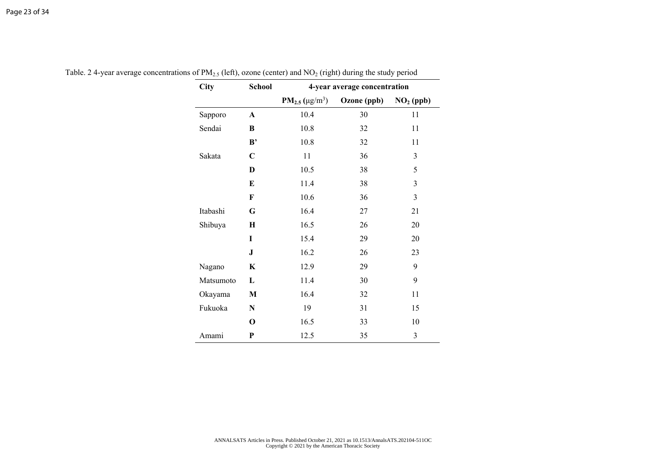| <b>City</b> | School       | 4-year average concentration |             |                |  |  |  |  |
|-------------|--------------|------------------------------|-------------|----------------|--|--|--|--|
|             |              | $PM_{2.5} (\mu g/m^3)$       | Ozone (ppb) | $NO2$ (ppb)    |  |  |  |  |
| Sapporo     | A            | 10.4                         | 30          | 11             |  |  |  |  |
| Sendai      | B            | 10.8                         | 32          | 11             |  |  |  |  |
|             | B'           | 10.8                         | 32          | 11             |  |  |  |  |
| Sakata      | $\mathbf C$  | 11                           | 36          | $\overline{3}$ |  |  |  |  |
|             | D            | 10.5                         | 38          | 5              |  |  |  |  |
|             | E            | 11.4                         | 38          | $\mathfrak{Z}$ |  |  |  |  |
|             | $\mathbf F$  | 10.6                         | 36          | $\mathfrak{Z}$ |  |  |  |  |
| Itabashi    | G            | 16.4                         | 27          | 21             |  |  |  |  |
| Shibuya     | $\bf H$      | 16.5                         | 26          | 20             |  |  |  |  |
|             | I            | 15.4                         | 29          | 20             |  |  |  |  |
|             | ${\bf J}$    | 16.2                         | 26          | 23             |  |  |  |  |
| Nagano      | $\bf K$      | 12.9                         | 29          | 9              |  |  |  |  |
| Matsumoto   | $\mathbf L$  | 11.4                         | 30          | 9              |  |  |  |  |
| Okayama     | $\mathbf{M}$ | 16.4                         | 32          | 11             |  |  |  |  |
| Fukuoka     | ${\bf N}$    | 19                           | 31          | 15             |  |  |  |  |
|             | $\mathbf 0$  | 16.5                         | 33          | 10             |  |  |  |  |
| Amami       | P            | 12.5                         | 35          | 3              |  |  |  |  |

Table. 2 4-year average concentrations of  $PM_{2.5}$  (left), ozone (center) and  $NO_2$  (right) during the study period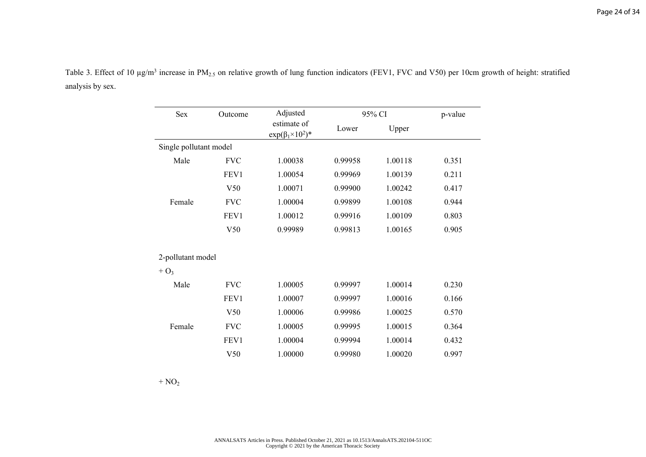| Sex                    | Outcome    | Adjusted                                    |         | 95% CI  |       |  |
|------------------------|------------|---------------------------------------------|---------|---------|-------|--|
|                        |            | estimate of<br>$exp(\beta_1 \times 10^2)^*$ | Lower   | Upper   |       |  |
| Single pollutant model |            |                                             |         |         |       |  |
| Male                   | <b>FVC</b> | 1.00038                                     | 0.99958 | 1.00118 | 0.351 |  |
|                        | FEV1       | 1.00054                                     | 0.99969 | 1.00139 | 0.211 |  |
|                        | V50        | 1.00071                                     | 0.99900 | 1.00242 | 0.417 |  |
| Female                 | <b>FVC</b> | 1.00004                                     | 0.99899 | 1.00108 | 0.944 |  |
|                        | FEV1       | 1.00012                                     | 0.99916 | 1.00109 | 0.803 |  |
|                        | V50        | 0.99989                                     | 0.99813 | 1.00165 | 0.905 |  |
| 2-pollutant model      |            |                                             |         |         |       |  |
| $+$ O <sub>3</sub>     |            |                                             |         |         |       |  |
| Male                   | <b>FVC</b> | 1.00005                                     | 0.99997 | 1.00014 | 0.230 |  |
|                        | FEV1       | 1.00007                                     | 0.99997 | 1.00016 | 0.166 |  |
|                        | V50        | 1.00006                                     | 0.99986 | 1.00025 | 0.570 |  |
| Female                 | <b>FVC</b> | 1.00005                                     | 0.99995 | 1.00015 | 0.364 |  |
|                        | FEV1       | 1.00004                                     | 0.99994 | 1.00014 | 0.432 |  |
|                        | V50        | 1.00000                                     | 0.99980 | 1.00020 | 0.997 |  |

Table 3. Effect of 10  $\mu$ g/m<sup>3</sup> increase in PM<sub>2.5</sub> on relative growth of lung function indicators (FEV1, FVC and V50) per 10cm growth of height: stratified analysis by sex.

 $+ NO<sub>2</sub>$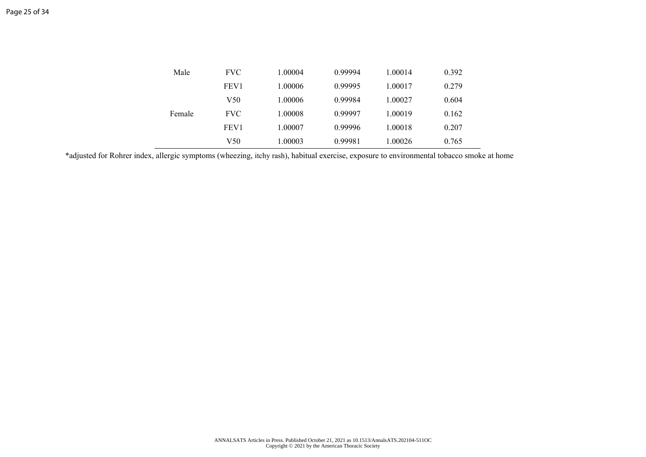| Male   | <b>FVC</b>       | 1.00004 | 0.99994 | 1.00014 | 0.392 |
|--------|------------------|---------|---------|---------|-------|
|        | FEV <sub>1</sub> | 1.00006 | 0.99995 | 1.00017 | 0.279 |
|        | V50              | 1.00006 | 0.99984 | 1.00027 | 0.604 |
| Female | <b>FVC</b>       | 1.00008 | 0.99997 | 1.00019 | 0.162 |
|        | FEV <sub>1</sub> | 1.00007 | 0.99996 | 1.00018 | 0.207 |
|        | V50              | 1.00003 | 0.99981 | 1.00026 | 0.765 |

\*adjusted for Rohrer index, allergic symptoms (wheezing, itchy rash), habitual exercise, exposure to environmental tobacco smoke at home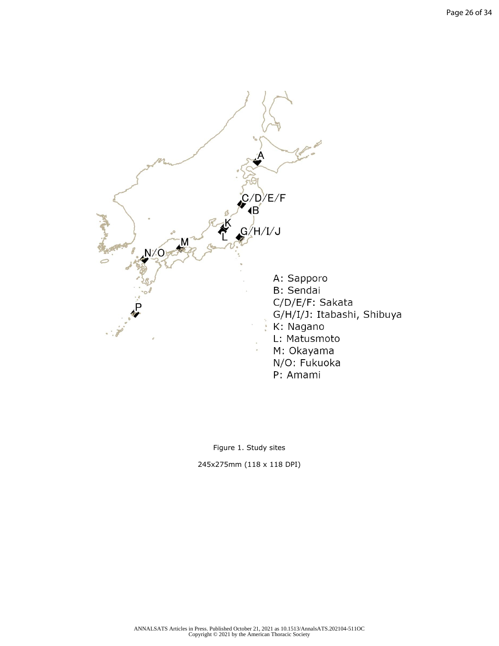

Figure 1. Study sites

245x275mm (118 x 118 DPI)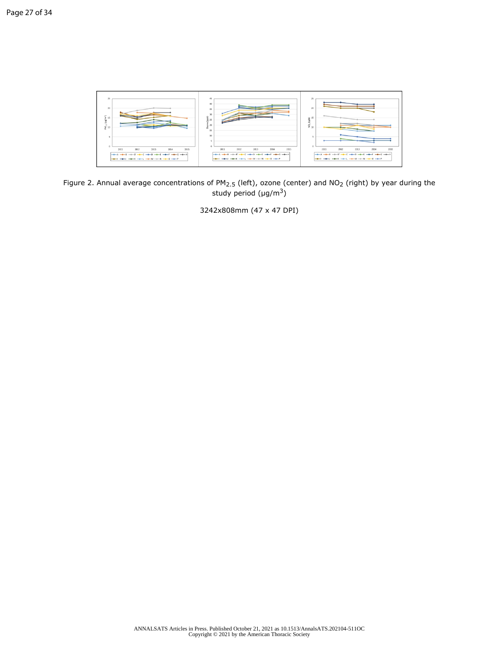

Figure 2. Annual average concentrations of  $PM_{2.5}$  (left), ozone (center) and NO<sub>2</sub> (right) by year during the study period  $(\mu g/m^3)$ 

3242x808mm (47 x 47 DPI)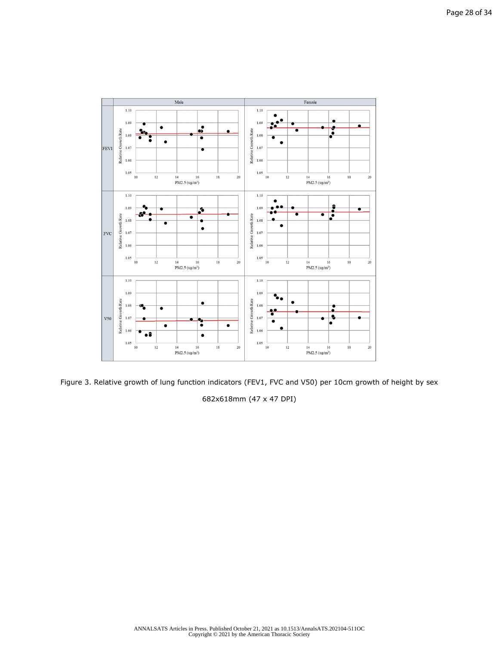

Figure 3. Relative growth of lung function indicators (FEV1, FVC and V50) per 10cm growth of height by sex 682x618mm (47 x 47 DPI)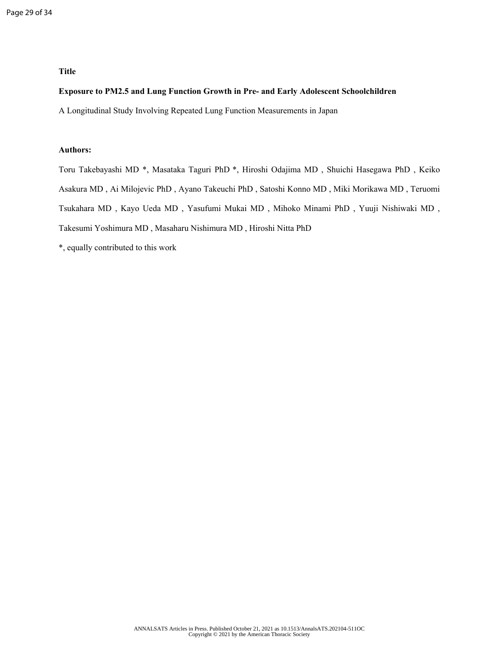## **Title**

### **Exposure to PM2.5 and Lung Function Growth in Pre- and Early Adolescent Schoolchildren**

A Longitudinal Study Involving Repeated Lung Function Measurements in Japan

# **Authors:**

Toru Takebayashi MD \*, Masataka Taguri PhD \*, Hiroshi Odajima MD , Shuichi Hasegawa PhD , Keiko Asakura MD , Ai Milojevic PhD , Ayano Takeuchi PhD , Satoshi Konno MD , Miki Morikawa MD , Teruomi Tsukahara MD , Kayo Ueda MD , Yasufumi Mukai MD , Mihoko Minami PhD , Yuuji Nishiwaki MD , Takesumi Yoshimura MD , Masaharu Nishimura MD , Hiroshi Nitta PhD

\*, equally contributed to this work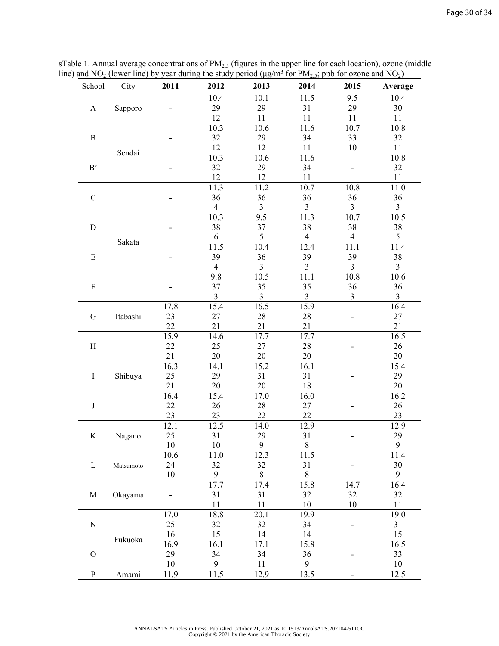| School        | City      | 2011   | 2012           | 2013           | 2014           | 2015           | Average        |
|---------------|-----------|--------|----------------|----------------|----------------|----------------|----------------|
|               |           |        | 10.4           | 10.1           | 11.5           | 9.5            | 10.4           |
| $\mathbf{A}$  | Sapporo   |        | 29             | 29             | 31             | 29             | 30             |
|               |           |        | 12             | 11             | 11             | 11             | 11             |
|               |           |        | 10.3           | 10.6           | 11.6           | 10.7           | 10.8           |
| $\, {\bf B}$  |           |        | 32             | 29             | 34             | 33             | 32             |
|               |           |        | 12             | 12             | 11             | 10             | 11             |
|               | Sendai    |        | 10.3           | 10.6           | 11.6           |                | 10.8           |
| $\rm B$       |           |        | 32             | 29             | 34             |                | 32             |
|               |           |        | 12             | 12             | 11             |                | 11             |
|               |           |        | 11.3           | 11.2           | 10.7           | 10.8           | 11.0           |
| $\mathbf C$   |           |        | 36             | 36             | 36             | 36             | 36             |
|               |           |        | $\overline{4}$ | $\overline{3}$ | 3              | 3              | $\overline{3}$ |
|               |           |        | 10.3           | 9.5            | 11.3           | 10.7           | 10.5           |
| ${\bf D}$     |           |        | 38             | 37             | 38             | 38             | 38             |
|               |           |        | 6              | 5              | $\overline{4}$ | $\overline{4}$ | 5              |
|               | Sakata    |        | 11.5           | 10.4           | 12.4           | 11.1           | 11.4           |
| E             |           |        | 39             | 36             | 39             | 39             | 38             |
|               |           |        | $\overline{4}$ | $\overline{3}$ | 3              | 3              | $\overline{3}$ |
|               |           |        | 9.8            | 10.5           | 11.1           | 10.8           | 10.6           |
| $\mathbf F$   |           |        | 37             | 35             | 35             | 36             | 36             |
|               |           |        | $\mathfrak{Z}$ | $\overline{3}$ | 3              | 3              | $\overline{3}$ |
|               |           | 17.8   | 15.4           | 16.5           | 15.9           |                | 16.4           |
| ${\bf G}$     | Itabashi  | 23     | 27             | 28             | $28\,$         |                | 27             |
|               |           | 22     | 21             | 21             | 21             |                | 21             |
|               |           | 15.9   | 14.6           | 17.7           | 17.7           |                | 16.5           |
| $\, {\rm H}$  |           | 22     | 25             | 27             | 28             |                | 26             |
|               |           | 21     | $20\,$         | 20             | 20             |                | 20             |
|               |           | 16.3   | 14.1           | 15.2           | 16.1           |                | 15.4           |
| $\bf I$       | Shibuya   | 25     | 29             | 31             | 31             |                | 29             |
|               |           | 21     | $20\,$         | 20             | $18\,$         |                | 20             |
|               |           | 16.4   | 15.4           | 17.0           | 16.0           |                | 16.2           |
| $\bf J$       |           | 22     | $26\,$         | $28\,$         | 27             |                | 26             |
|               |           | 23     | 23             | 22             | 22             |                | 23             |
|               |           | 12.1   | 12.5           | 14.0           | 12.9           |                | 12.9           |
| $\rm K$       | Nagano    | 25     | 31             | 29             | 31             |                | 29             |
|               |           | $10\,$ | $10\,$         | 9              | $\,$ $\,$      |                | 9              |
|               |           | 10.6   | 11.0           | 12.3           | 11.5           |                | 11.4           |
| L             | Matsumoto | 24     | 32             | 32             | 31             |                | 30             |
|               |           | 10     | 9              | 8              | $\,8\,$        |                | 9              |
|               |           |        | 17.7           | 17.4           | 15.8           | 14.7           | 16.4           |
| M             | Okayama   |        | 31             | 31             | 32             | 32             | 32             |
|               |           |        | 11             | 11             | $10\,$         | 10             | 11             |
|               |           | 17.0   | 18.8           | 20.1           | 19.9           |                | 19.0           |
| ${\bf N}$     |           | 25     | 32             | 32             | 34             |                | 31             |
|               |           | 16     | 15             | 14             | 14             |                | 15             |
|               | Fukuoka   | 16.9   | 16.1           | 17.1           | 15.8           |                | 16.5           |
| $\mathcal{O}$ |           | 29     | 34             | 34             | 36             |                | 33             |
|               |           | 10     | 9              | 11             | 9              |                | 10             |
| $\mathbf{P}$  | Amami     | 11.9   | 11.5           | 12.9           | 13.5           |                | 12.5           |

sTable 1. Annual average concentrations of  $PM_{2.5}$  (figures in the upper line for each location), ozone (middle line) and NO<sub>2</sub> (lower line) by year during the study period ( $\mu$ g/m<sup>3</sup> for PM<sub>2.5</sub>; ppb for ozone and NO<sub>2</sub>)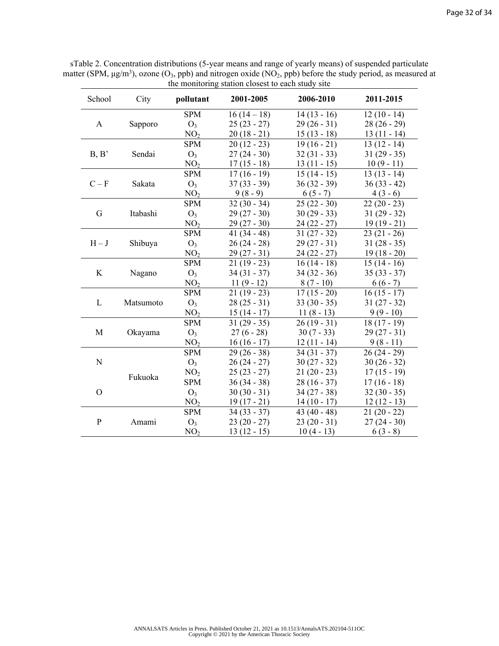| School        | City      | pollutant       | the momenting station crosest to each study site<br>2001-2005 | 2006-2010     | 2011-2015     |
|---------------|-----------|-----------------|---------------------------------------------------------------|---------------|---------------|
|               |           | <b>SPM</b>      | $16(14-18)$                                                   | $14(13-16)$   | $12(10 - 14)$ |
| $\mathbf{A}$  | Sapporo   | $O_3$           | $25(23 - 27)$                                                 | $29(26-31)$   | $28(26-29)$   |
|               |           | NO <sub>2</sub> | $20(18-21)$                                                   | $15(13-18)$   | $13(11 - 14)$ |
| B, B'         |           | <b>SPM</b>      | $20(12 - 23)$                                                 | $19(16-21)$   | $13(12 - 14)$ |
|               | Sendai    | $O_3$           | $27(24-30)$                                                   | $32(31 - 33)$ | $31(29-35)$   |
|               |           | NO <sub>2</sub> | $17(15-18)$                                                   | $13(11 - 15)$ | $10(9-11)$    |
|               |           | <b>SPM</b>      | $17(16-19)$                                                   | $15(14-15)$   | $13(13-14)$   |
| $C - F$       | Sakata    | O <sub>3</sub>  | $37(33 - 39)$                                                 | $36(32 - 39)$ | $36(33 - 42)$ |
|               |           | NO <sub>2</sub> | $9(8-9)$                                                      | $6(5-7)$      | $4(3-6)$      |
|               |           | <b>SPM</b>      | $32(30 - 34)$                                                 | $25(22-30)$   | $22(20 - 23)$ |
| G             | Itabashi  | $O_3$           | $29(27 - 30)$                                                 | $30(29 - 33)$ | $31(29-32)$   |
|               |           | NO <sub>2</sub> | $29(27 - 30)$                                                 | $24(22 - 27)$ | $19(19-21)$   |
|               |           | <b>SPM</b>      | 41 $(34 - 48)$                                                | $31(27 - 32)$ | $23(21-26)$   |
| $H-J$         | Shibuya   | $O_3$           | $26(24 - 28)$                                                 | $29(27 - 31)$ | $31(28-35)$   |
|               |           | NO <sub>2</sub> | $29(27-31)$                                                   | $24(22 - 27)$ | $19(18-20)$   |
|               | Nagano    | <b>SPM</b>      | $21(19-23)$                                                   | $16(14-18)$   | $15(14-16)$   |
| K             |           | $O_3$           | $34(31 - 37)$                                                 | $34(32 - 36)$ | $35(33 - 37)$ |
|               |           | NO <sub>2</sub> | $11(9-12)$                                                    | $8(7-10)$     | $6(6-7)$      |
|               |           | <b>SPM</b>      | $21(19-23)$                                                   | $17(15-20)$   | $16(15-17)$   |
| L             | Matsumoto | $O_3$           | $28(25-31)$                                                   | $33(30-35)$   | $31(27 - 32)$ |
|               |           | NO <sub>2</sub> | $15(14-17)$                                                   | $11(8-13)$    | $9(9-10)$     |
|               |           | <b>SPM</b>      | $31(29-35)$                                                   | $26(19-31)$   | $18(17-19)$   |
| M             | Okayama   | $O_3$           | $27(6-28)$                                                    | $30(7 - 33)$  | $29(27 - 31)$ |
|               |           | NO <sub>2</sub> | $16(16-17)$                                                   | $12(11 - 14)$ | $9(8-11)$     |
|               |           | <b>SPM</b>      | $29(26-38)$                                                   | $34(31 - 37)$ | $26(24-29)$   |
| N             |           | $O_3$           | $26(24 - 27)$                                                 | $30(27 - 32)$ | $30(26-32)$   |
|               | Fukuoka   | NO <sub>2</sub> | $25(23 - 27)$                                                 | $21(20-23)$   | $17(15-19)$   |
|               |           | <b>SPM</b>      | $36(34 - 38)$                                                 | $28(16-37)$   | $17(16-18)$   |
| $\mathcal{O}$ |           | $O_3$           | $30(30 - 31)$                                                 | $34(27 - 38)$ | $32(30 - 35)$ |
|               |           | NO <sub>2</sub> | $19(17-21)$                                                   | $14(10-17)$   | $12(12-13)$   |
|               |           | <b>SPM</b>      | $34(33 - 37)$                                                 | $43(40-48)$   | $21(20 - 22)$ |
| $\mathbf{P}$  | Amami     | $O_3$           | $23(20 - 27)$                                                 | $23(20-31)$   | $27(24-30)$   |
|               |           | NO <sub>2</sub> | $13(12-15)$                                                   | $10(4-13)$    | $6(3-8)$      |

sTable 2. Concentration distributions (5-year means and range of yearly means) of suspended particulate matter (SPM,  $\mu$ g/m<sup>3</sup>), ozone (O<sub>3</sub>, ppb) and nitrogen oxide (NO<sub>2</sub>, ppb) before the study period, as measured at the monitoring station closest to each study site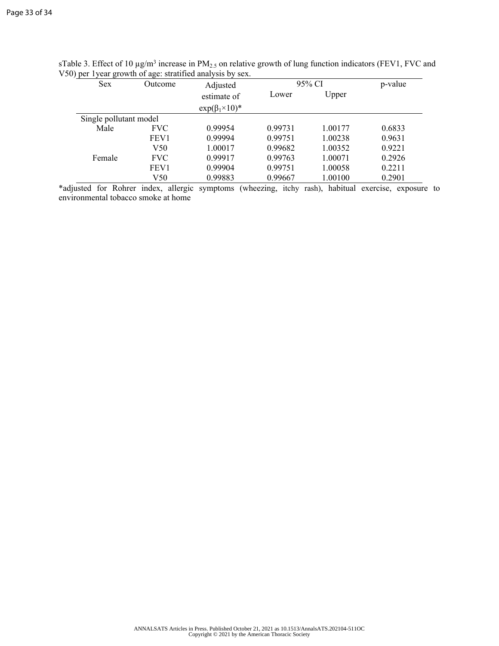| <b>Sex</b>             | Outcome          | Adjusted                    | 95% CI         | p-value |        |
|------------------------|------------------|-----------------------------|----------------|---------|--------|
|                        |                  | estimate of                 | Upper<br>Lower |         |        |
|                        |                  | $\exp(\beta_1 \times 10)^*$ |                |         |        |
| Single pollutant model |                  |                             |                |         |        |
| Male                   | <b>FVC</b>       | 0.99954                     | 0.99731        | 1.00177 | 0.6833 |
|                        | FEV <sub>1</sub> | 0.99994                     | 0.99751        | 1.00238 | 0.9631 |
|                        | V <sub>50</sub>  | 1.00017                     | 0.99682        | 1.00352 | 0.9221 |
| Female                 | <b>FVC</b>       | 0.99917                     | 0.99763        | 1.00071 | 0.2926 |
|                        | FEV1             | 0.99904                     | 0.99751        | 1.00058 | 0.2211 |
|                        | V50              | 0.99883                     | 0.99667        | 1.00100 | 0.2901 |

sTable 3. Effect of 10  $\mu$ g/m<sup>3</sup> increase in PM<sub>2.5</sub> on relative growth of lung function indicators (FEV1, FVC and V50) per 1year growth of age: stratified analysis by sex.

\*adjusted for Rohrer index, allergic symptoms (wheezing, itchy rash), habitual exercise, exposure to environmental tobacco smoke at home